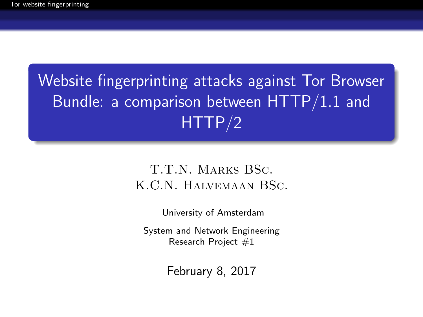# <span id="page-0-0"></span>Website fingerprinting attacks against Tor Browser Bundle: a comparison between HTTP/1.1 and HTTP/2

#### T.T.N. Marks BSc. K.C.N. Halvemaan BSc.

University of Amsterdam

System and Network Engineering Research Project #1

February 8, 2017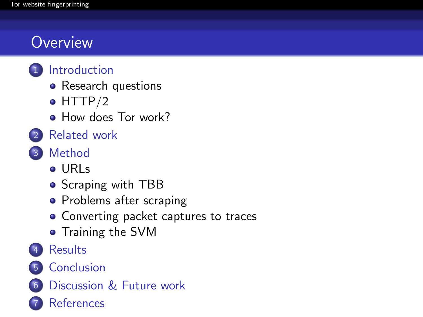## **Overview**



- [Research questions](#page-4-0)
- $\bullet$  [HTTP/2](#page-5-0)
- [How does Tor work?](#page-6-0)
- **[Related work](#page-8-0)**

### 3 [Method](#page-14-0)

- [URLs](#page-16-0)
- [Scraping with TBB](#page-17-0)
- [Problems after scraping](#page-18-0)
- [Converting packet captures to traces](#page-19-0)
- **•** [Training the SVM](#page-20-0)
- **[Results](#page-21-0)**
- 5 [Conclusion](#page-24-0)
- 6 [Discussion & Future work](#page-25-0)
	- **[References](#page-28-0)**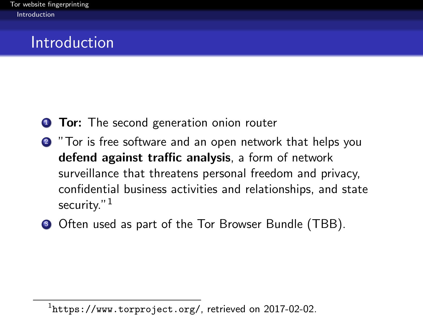### <span id="page-2-0"></span>Introduction

- **1 Tor:** The second generation onion router
- <sup>2</sup> "Tor is free software and an open network that helps you defend against traffic analysis, a form of network surveillance that threatens personal freedom and privacy, confidential business activities and relationships, and state security."<sup>1</sup>
- <sup>3</sup> Often used as part of the Tor Browser Bundle (TBB).

 $^1$ <https://www.torproject.org/>, retrieved on 2017-02-02.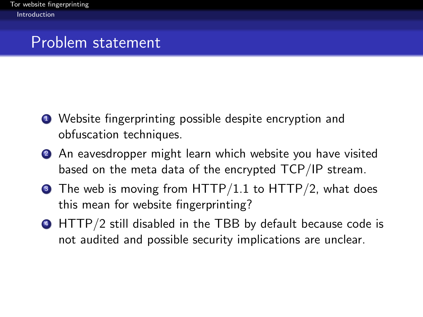### <span id="page-3-0"></span>Problem statement

- <sup>1</sup> Website fingerprinting possible despite encryption and obfuscation techniques.
- **2** An eavesdropper might learn which website you have visited based on the meta data of the encrypted TCP/IP stream.
- $\bullet$  The web is moving from HTTP/1.1 to HTTP/2, what does this mean for website fingerprinting?
- <sup>4</sup> HTTP/2 still disabled in the TBB by default because code is not audited and possible security implications are unclear.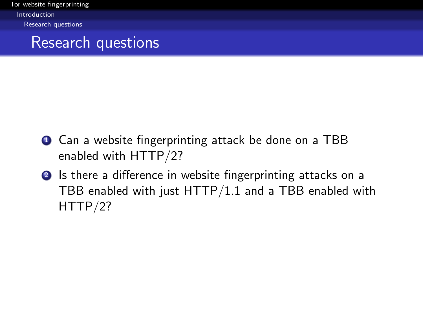<span id="page-4-0"></span>[Tor website fingerprinting](#page-0-0) [Introduction](#page-4-0) [Research questions](#page-4-0)

#### Research questions

- **1** Can a website fingerprinting attack be done on a TBB enabled with HTTP/2?
- **2** Is there a difference in website fingerprinting attacks on a TBB enabled with just HTTP/1.1 and a TBB enabled with HTTP/2?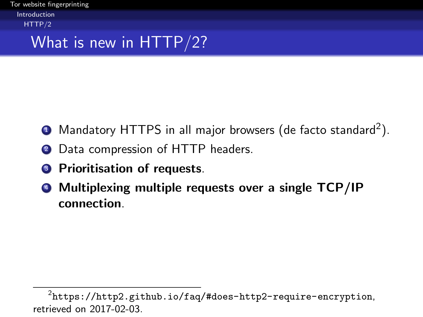<span id="page-5-0"></span>[Tor website fingerprinting](#page-0-0) [Introduction](#page-5-0) [HTTP/2](#page-5-0)

### What is new in HTTP/2?

- $\bullet$  Mandatory HTTPS in all major browsers (de facto standard $^2$ ).
- 2 Data compression of HTTP headers.
- **3** Prioritisation of requests.
- <sup>4</sup> Multiplexing multiple requests over a single TCP/IP connection.

 $^2$ https://http $2.\text{github.io/faq/#does-http2-require-encryption},$ retrieved on 2017-02-03.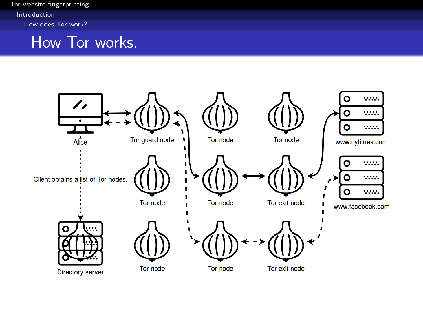<span id="page-6-0"></span>[Tor website fingerprinting](#page-0-0) [Introduction](#page-6-0) [How does Tor work?](#page-6-0)

#### How Tor works.

<span id="page-6-1"></span>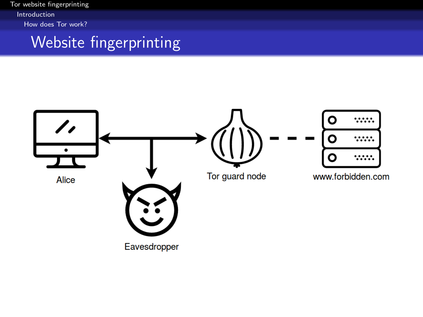<span id="page-7-0"></span>[Tor website fingerprinting](#page-0-0) [Introduction](#page-7-0) [How does Tor work?](#page-7-0)

### Website fingerprinting

<span id="page-7-1"></span>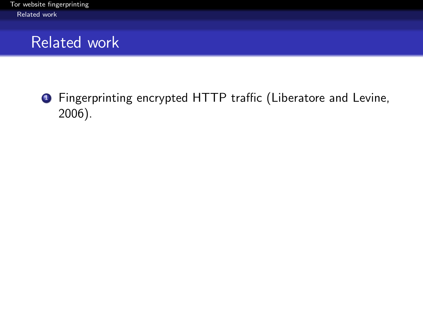<span id="page-8-0"></span>**1** Fingerprinting encrypted HTTP traffic (Liberatore and Levine, 2006).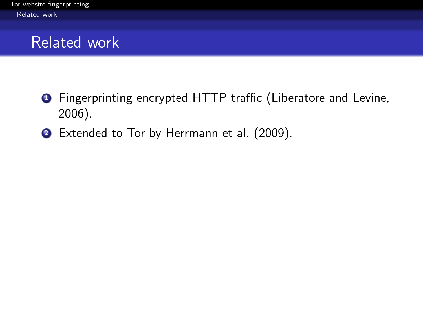- <span id="page-9-0"></span><sup>1</sup> Fingerprinting encrypted HTTP traffic (Liberatore and Levine, 2006).
- 2 Extended to Tor by Herrmann et al. (2009).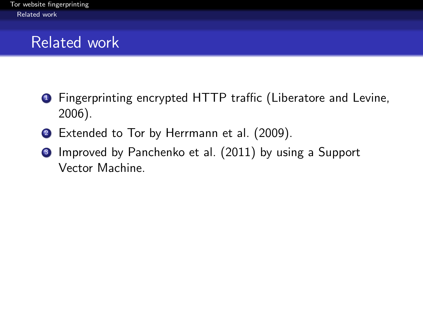- <span id="page-10-0"></span><sup>1</sup> Fingerprinting encrypted HTTP traffic (Liberatore and Levine, 2006).
- 2 Extended to Tor by Herrmann et al. (2009).
- <sup>3</sup> Improved by Panchenko et al. (2011) by using a Support Vector Machine.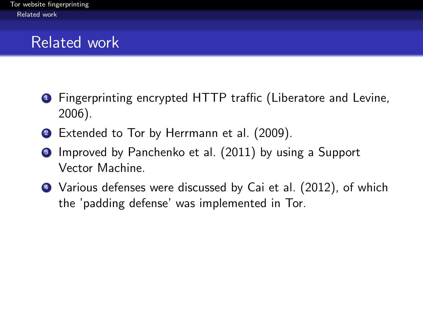- <span id="page-11-0"></span>**1** Fingerprinting encrypted HTTP traffic (Liberatore and Levine, 2006).
- 2 Extended to Tor by Herrmann et al. (2009).
- **3** Improved by Panchenko et al. (2011) by using a Support Vector Machine.
- <sup>4</sup> Various defenses were discussed by Cai et al. (2012), of which the 'padding defense' was implemented in Tor.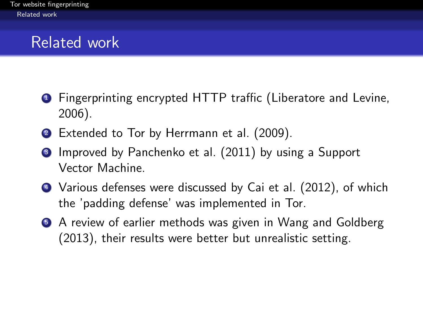- <span id="page-12-0"></span>**1** Fingerprinting encrypted HTTP traffic (Liberatore and Levine, 2006).
- **2** Extended to Tor by Herrmann et al. (2009).
- **3** Improved by Panchenko et al. (2011) by using a Support Vector Machine.
- <sup>4</sup> Various defenses were discussed by Cai et al. (2012), of which the 'padding defense' was implemented in Tor.
- **A review of earlier methods was given in Wang and Goldberg** (2013), their results were better but unrealistic setting.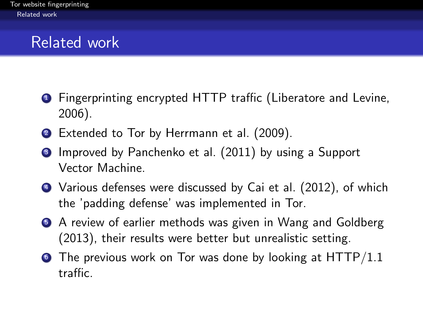- <span id="page-13-0"></span>**1** Fingerprinting encrypted HTTP traffic (Liberatore and Levine, 2006).
- 2 Extended to Tor by Herrmann et al. (2009).
- **3** Improved by Panchenko et al. (2011) by using a Support Vector Machine.
- <sup>4</sup> Various defenses were discussed by Cai et al. (2012), of which the 'padding defense' was implemented in Tor.
- **A review of earlier methods was given in Wang and Goldberg** (2013), their results were better but unrealistic setting.
- $\bullet$  The previous work on Tor was done by looking at HTTP/1.1 traffic.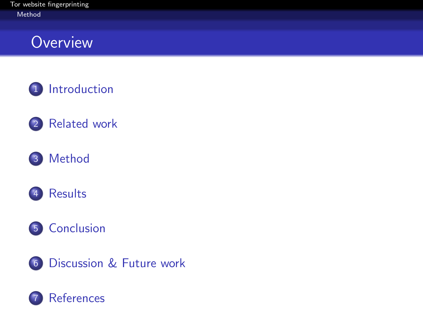### <span id="page-14-0"></span>**Overview**











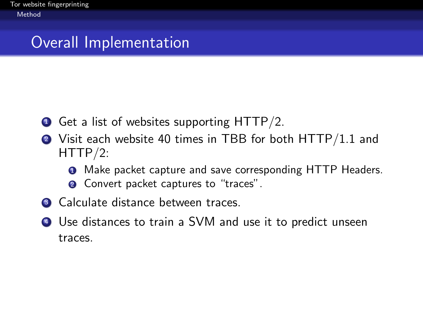### <span id="page-15-0"></span>Overall Implementation

- **1** Get a list of websites supporting HTTP/2.
- <sup>2</sup> Visit each website 40 times in TBB for both HTTP/1.1 and HTTP/2:
	- **1** Make packet capture and save corresponding HTTP Headers.
	- <sup>2</sup> Convert packet captures to "traces".
- <sup>3</sup> Calculate distance between traces.
- <sup>4</sup> Use distances to train a SVM and use it to predict unseen traces.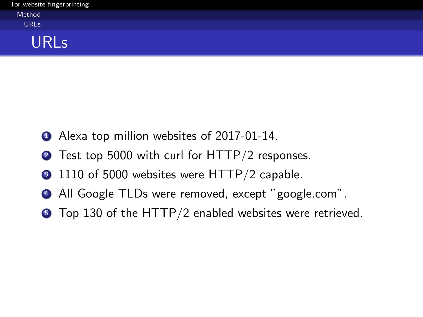<span id="page-16-0"></span>

|        | Tor website fingerprinting |
|--------|----------------------------|
| Method |                            |
| URLs   |                            |

#### URLs

- **1** Alexa top million websites of 2017-01-14.
- **2** Test top 5000 with curl for HTTP/2 responses.
- <sup>3</sup> 1110 of 5000 websites were HTTP/2 capable.
- <sup>4</sup> All Google TLDs were removed, except "google.com".
- **•** Top 130 of the HTTP/2 enabled websites were retrieved.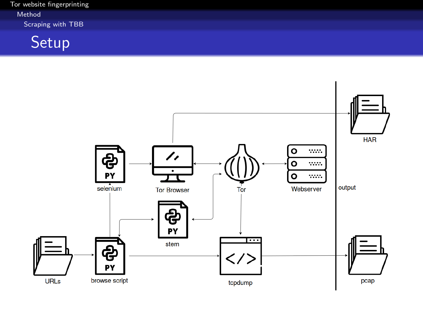<span id="page-17-0"></span>[Tor website fingerprinting](#page-0-0) [Method](#page-17-0) [Scraping with TBB](#page-17-0)

Setup

<span id="page-17-1"></span>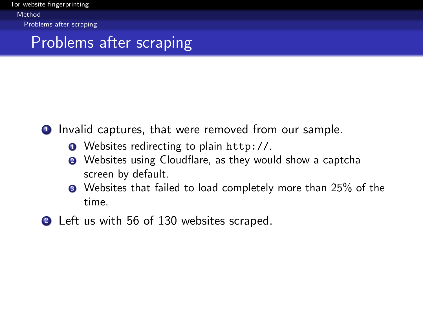<span id="page-18-0"></span>[Tor website fingerprinting](#page-0-0) [Method](#page-18-0) [Problems after scraping](#page-18-0)

### Problems after scraping

**1** Invalid captures, that were removed from our sample.

- **1** Websites redirecting to plain <http://>.
- <sup>2</sup> Websites using Cloudflare, as they would show a captcha screen by default.
- Websites that failed to load completely more than 25% of the time.
- 2 Left us with 56 of 130 websites scraped.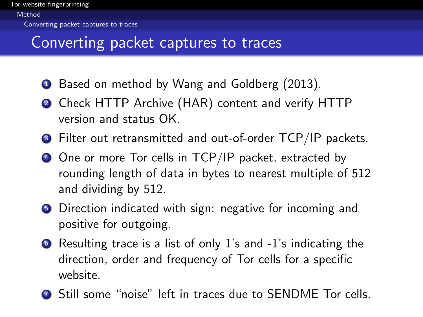### <span id="page-19-0"></span>Converting packet captures to traces

- **1** Based on method by Wang and Goldberg (2013).
- <sup>2</sup> Check HTTP Archive (HAR) content and verify HTTP version and status OK.
- <sup>3</sup> Filter out retransmitted and out-of-order TCP/IP packets.
- <sup>4</sup> One or more Tor cells in TCP/IP packet, extracted by rounding length of data in bytes to nearest multiple of 512 and dividing by 512.
- **•** Direction indicated with sign: negative for incoming and positive for outgoing.
- <sup>6</sup> Resulting trace is a list of only 1's and -1's indicating the direction, order and frequency of Tor cells for a specific website.
- <sup>7</sup> Still some "noise" left in traces due to SENDME Tor cells.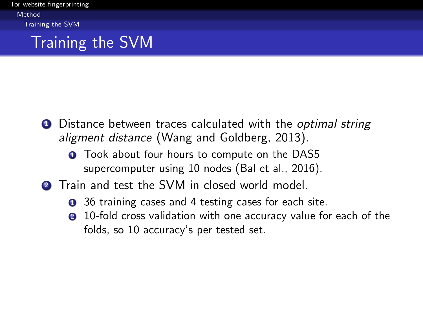<span id="page-20-0"></span>[Tor website fingerprinting](#page-0-0) [Method](#page-20-0) [Training the SVM](#page-20-0)

### Training the SVM

- **1** Distance between traces calculated with the *optimal string* aligment distance (Wang and Goldberg, 2013).
	- **1** Took about four hours to compute on the DAS5 supercomputer using 10 nodes (Bal et al., 2016).
- **2** Train and test the SVM in closed world model.
	- **1** 36 training cases and 4 testing cases for each site.
	- 2 10-fold cross validation with one accuracy value for each of the folds, so 10 accuracy's per tested set.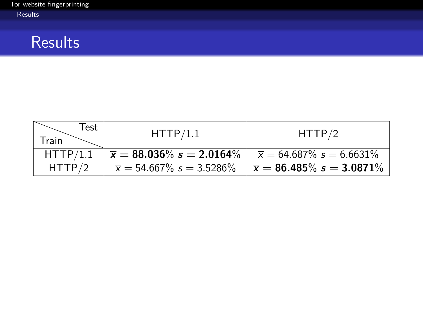### <span id="page-21-0"></span>**Results**

| Test<br>Train | HTTP/1.1                             | HTTP/2                                 |
|---------------|--------------------------------------|----------------------------------------|
| HTTP/1.1      | $\bar{x} = 88.036\% \; s = 2.0164\%$ | $\overline{x}$ = 64.687% $s$ = 6.6631% |
| HTTP/2        | $\bar{x} = 54.667\% \; s = 3.5286\%$ | $\bar{x} = 86.485\% s = 3.0871\%$      |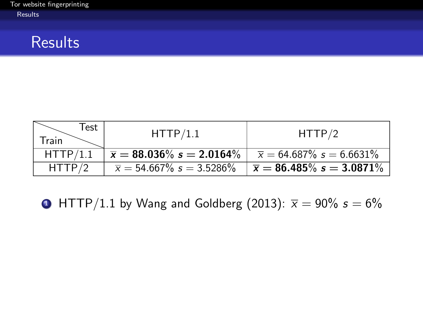#### <span id="page-22-0"></span>**Results**

| Test<br>Train | HTTP/1.1                                         | HTTP/2                                 |
|---------------|--------------------------------------------------|----------------------------------------|
| HTTP/1.1      | $\sqrt{\overline{x}} = 88.036\% \; s = 2.0164\%$ | $\overline{x}$ = 64.687% $s$ = 6.6631% |
| HTTP/2        | $\bar{x} = 54.667\% \; s = 3.5286\%$             | $\overline{x}$ = 86.485% s = 3.0871%   |

 $\bullet$  HTTP/1.1 by Wang and Goldberg (2013):  $\bar{x} = 90\%$  s = 6%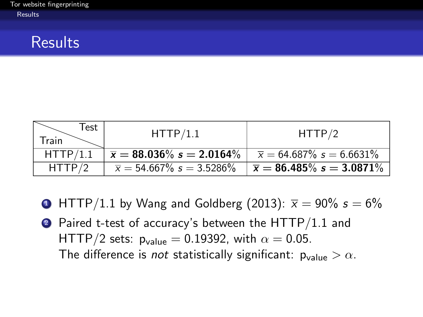#### <span id="page-23-0"></span>**Results**

| Test<br>Train | HTTP/1.1                                 | HTTP/2                            |
|---------------|------------------------------------------|-----------------------------------|
| HTTP/1.1      | $\overline{x} = 88.036\%$ $s = 2.0164\%$ | $\bar{x} = 64.687\%$ s = 6.6631\% |
| HTTP/2        | $\bar{x} = 54.667\% \; s = 3.5286\%$     | $\bar{x} = 86.485\% s = 3.0871\%$ |

- $\bullet$  HTTP/1.1 by Wang and Goldberg (2013):  $\bar{x} = 90\%$  s = 6%
- 2 Paired t-test of accuracy's between the HTTP/1.1 and HTTP/2 sets:  $p_{value} = 0.19392$ , with  $\alpha = 0.05$ . The difference is not statistically significant:  $p_{value} > \alpha$ .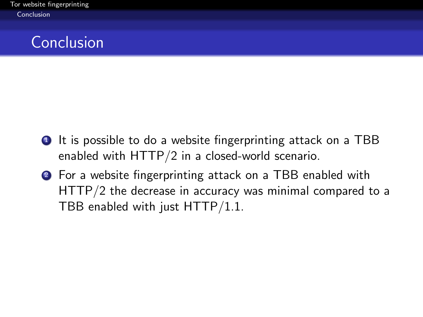### <span id="page-24-0"></span>Conclusion

- **1** It is possible to do a website fingerprinting attack on a TBB enabled with HTTP/2 in a closed-world scenario.
- <sup>2</sup> For a website fingerprinting attack on a TBB enabled with HTTP/2 the decrease in accuracy was minimal compared to a TBB enabled with just HTTP/1.1.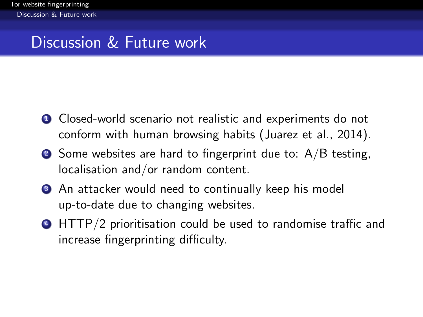## <span id="page-25-0"></span>Discussion & Future work

- **1** Closed-world scenario not realistic and experiments do not conform with human browsing habits (Juarez et al., 2014).
- $\bullet$  Some websites are hard to fingerprint due to: A/B testing, localisation and/or random content.
- <sup>3</sup> An attacker would need to continually keep his model up-to-date due to changing websites.
- <sup>4</sup> HTTP/2 prioritisation could be used to randomise traffic and increase fingerprinting difficulty.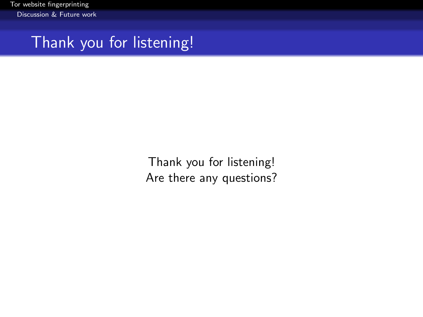<span id="page-26-0"></span>[Tor website fingerprinting](#page-0-0) [Discussion & Future work](#page-26-0)

Thank you for listening!

Thank you for listening! Are there any questions?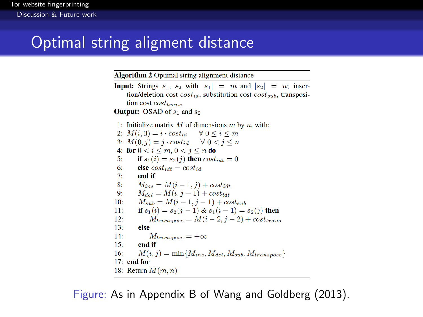### <span id="page-27-0"></span>Optimal string aligment distance

**Algorithm 2** Optimal string alignment distance

**Input:** Strings  $s_1$ ,  $s_2$  with  $|s_1| = m$  and  $|s_2| = n$ ; insertion/deletion cost  $cost_{id}$ , substitution cost  $cost_{sub}$ , transposition cost  $cost_{trans}$ 

**Output:** OSAD of  $s_1$  and  $s_2$ 

1: Initialize matrix  $M$  of dimensions  $m$  by  $n$ , with: 2:  $M(i, 0) = i \cdot cost_{id} \quad \forall \ 0 \le i \le m$ 3:  $M(0, i) = i \cdot cost_{id} \quad \forall \ 0 < i \le n$ 4: for  $0 < i < m, 0 < j < n$  do  $5:$ if  $s_1(i) = s_2(i)$  then  $cost_{i,i+1} = 0$ 6: else  $cost_{idt} = cost_{id}$ end if  $7.$  $M_{ins} = M(i-1, i) + cost_{idt}$  $\mathbf{R}$  $M_{del} = M(i, i - 1) + cost_{idt}$  $\mathbf{Q}$  $10:$  $M_{sub} = M(i - 1, i - 1) + cost_{sub}$ if  $s_1(i) = s_2(i-1) \& s_1(i-1) = s_2(i)$  then  $11:$  $M_{transpose} = M(i-2, j-2) + cost_{trans}$  $12:$  $13<sup>2</sup>$ else  $14<sup>1</sup>$  $M_{transpose} = +\infty$  $15:$ end if  $M(i, j) = \min\{M_{ins}, M_{del}, M_{sub}, M_{transpose}\}\$  $16:$  $17:$  end for 18: Return  $M(m, n)$ 

Figure: As in Appendix B of Wang and Goldberg (2013).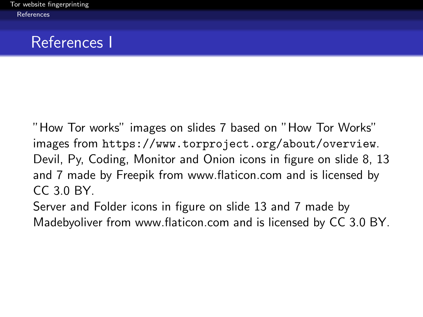### <span id="page-28-0"></span>References I

"How Tor works" images on slides [7](#page-6-1) based on "How Tor Works" images from <https://www.torproject.org/about/overview>. Devil, Py, Coding, Monitor and Onion icons in figure on slide [8,](#page-7-1) [13](#page-17-1) and [7](#page-6-1) made by [Freepik](http://www.freepik.com) from [www.flaticon.com](http://www.flaticon.com) and is licensed by [CC 3.0 BY.](http://creativecommons.org/licenses/by/3.0/)

Server and Folder icons in figure on slide [13](#page-17-1) and [7](#page-6-1) made by [Ma](http://www.flaticon.com/authors/madebyoliver)debyoliver from [www.flaticon.com](http://www.flaticon.com) and is licensed by [CC 3.0 BY.](http://creativecommons.org/licenses/by/3.0/)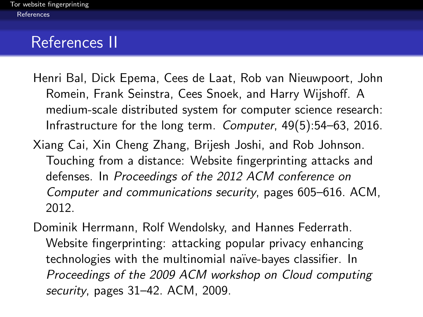### <span id="page-29-0"></span>References II

- Henri Bal, Dick Epema, Cees de Laat, Rob van Nieuwpoort, John Romein, Frank Seinstra, Cees Snoek, and Harry Wijshoff. A medium-scale distributed system for computer science research: Infrastructure for the long term. Computer, 49(5):54–63, 2016.
- Xiang Cai, Xin Cheng Zhang, Brijesh Joshi, and Rob Johnson. Touching from a distance: Website fingerprinting attacks and defenses. In Proceedings of the 2012 ACM conference on Computer and communications security, pages 605–616. ACM, 2012.
- Dominik Herrmann, Rolf Wendolsky, and Hannes Federrath. Website fingerprinting: attacking popular privacy enhancing technologies with the multinomial na¨ıve-bayes classifier. In Proceedings of the 2009 ACM workshop on Cloud computing security, pages 31–42. ACM, 2009.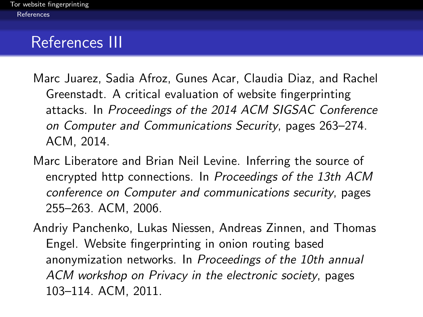### <span id="page-30-0"></span>References III

- Marc Juarez, Sadia Afroz, Gunes Acar, Claudia Diaz, and Rachel Greenstadt. A critical evaluation of website fingerprinting attacks. In Proceedings of the 2014 ACM SIGSAC Conference on Computer and Communications Security, pages 263–274. ACM, 2014.
- Marc Liberatore and Brian Neil Levine. Inferring the source of encrypted http connections. In Proceedings of the 13th ACM conference on Computer and communications security, pages 255–263. ACM, 2006.
- Andriy Panchenko, Lukas Niessen, Andreas Zinnen, and Thomas Engel. Website fingerprinting in onion routing based anonymization networks. In Proceedings of the 10th annual ACM workshop on Privacy in the electronic society, pages 103–114. ACM, 2011.